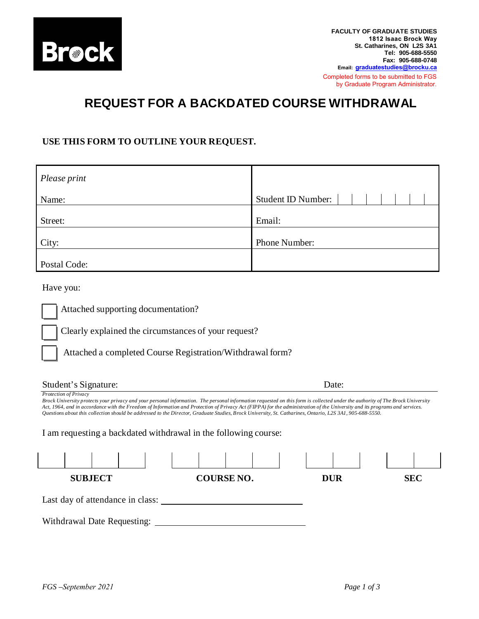

**FACULTY OF GRADUATE STUDIES 1812 Isaac Brock Way St. Catharines, ON L2S 3A1 Tel: 905-688-5550 Fax: 905-688-0748 Email: [graduatestudies@brocku.ca](http://www.brocku.ca/graduate-studies)**  Completed forms to be submitted to FGS by Graduate Program Administrator.

## **REQUEST FOR A BACKDATED COURSE WITHDRAWAL**

## **USE THIS FORM TO OUTLINE YOUR REQUEST.**

| Please print |                    |
|--------------|--------------------|
| Name:        | Student ID Number: |
| Street:      | Email:             |
| City:        | Phone Number:      |
| Postal Code: |                    |

Have you:

Attached supporting documentation?

Clearly explained the circumstances of your request?

Attached a completed Course Registration/Withdrawal form?

| Student's Signature:                                                                                                                                                                                                                                                                                                                                                                                                                                                                                                                              |                   | Date:      |            |
|---------------------------------------------------------------------------------------------------------------------------------------------------------------------------------------------------------------------------------------------------------------------------------------------------------------------------------------------------------------------------------------------------------------------------------------------------------------------------------------------------------------------------------------------------|-------------------|------------|------------|
| Protection of Privacy<br>Brock University protects your privacy and your personal information. The personal information requested on this form is collected under the authority of The Brock University<br>Act, 1964, and in accordance with the Freedom of Information and Protection of Privacy Act (FIPPA) for the administration of the University and its programs and services.<br>Ouestions about this collection should be addressed to the Director, Graduate Studies, Brock University, St. Catharines, Ontario, L2S 3A1, 905-688-5550. |                   |            |            |
| I am requesting a backdated withdrawal in the following course:                                                                                                                                                                                                                                                                                                                                                                                                                                                                                   |                   |            |            |
|                                                                                                                                                                                                                                                                                                                                                                                                                                                                                                                                                   |                   |            |            |
| <b>SUBJECT</b>                                                                                                                                                                                                                                                                                                                                                                                                                                                                                                                                    | <b>COURSE NO.</b> | <b>DUR</b> | <b>SEC</b> |
| Last day of attendance in class:                                                                                                                                                                                                                                                                                                                                                                                                                                                                                                                  |                   |            |            |
| Withdrawal Date Requesting:                                                                                                                                                                                                                                                                                                                                                                                                                                                                                                                       |                   |            |            |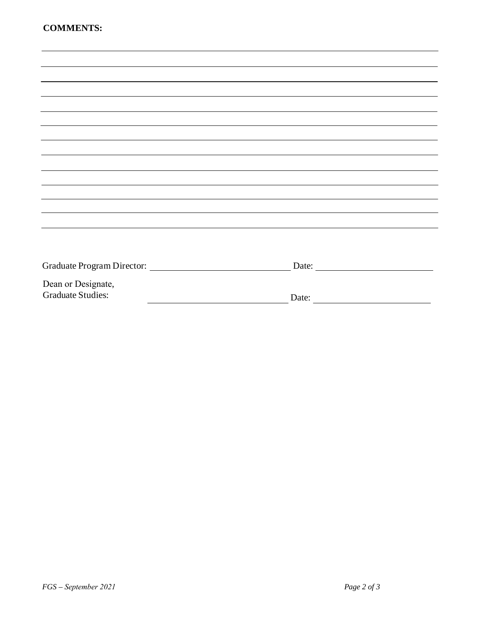|                          | Date:                                                                     |
|--------------------------|---------------------------------------------------------------------------|
| Dean or Designate,       |                                                                           |
| <b>Graduate Studies:</b> | Date:<br><u> 1989 - Johann Stein, mars an t-Amerikaansk kommunister (</u> |
|                          |                                                                           |